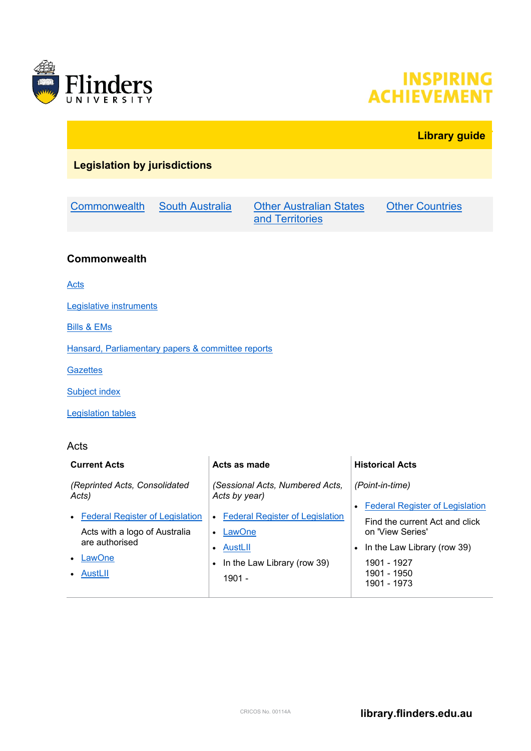

# **INSPIRING ACHIEVEMENT**

# **Library guide**

# **Legislation by jurisdictions**

[Commonwealth](#page-0-0) [South Australia](#page-3-0) [Other Australian States](#page-5-0) 

[and Territories](#page-5-0)

**[Other Countries](#page-9-0)** 

#### <span id="page-0-0"></span>**Commonwealth**

[Acts](#page-0-1)

[Legislative instruments](#page-1-0)

[Bills & EMs](#page-1-1)

[Hansard, Parliamentary papers & committee reports](#page-2-0)

**[Gazettes](#page-2-1)** 

**[Subject index](#page-2-2)** 

[Legislation tables](#page-2-3)

#### <span id="page-0-1"></span>Acts

| <b>Current Acts</b>                    | Acts as made                                     | <b>Historical Acts</b>                 |
|----------------------------------------|--------------------------------------------------|----------------------------------------|
| (Reprinted Acts, Consolidated<br>Acts) | (Sessional Acts, Numbered Acts,<br>Acts by year) | (Point-in-time)                        |
|                                        |                                                  | <b>Federal Register of Legislation</b> |
| • Federal Register of Legislation      | • Federal Register of Legislation                | Find the current Act and click         |
| Acts with a logo of Australia          | LawOne<br>$\bullet$                              | on 'View Series'                       |
| are authorised                         | • AustLII                                        | In the Law Library (row 39)            |
| LawOne<br>$\bullet$                    | • In the Law Library (row 39)                    | 1901 - 1927                            |
| AustLII<br>$\bullet$                   | $1901 -$                                         | 1901 - 1950<br>1901 - 1973             |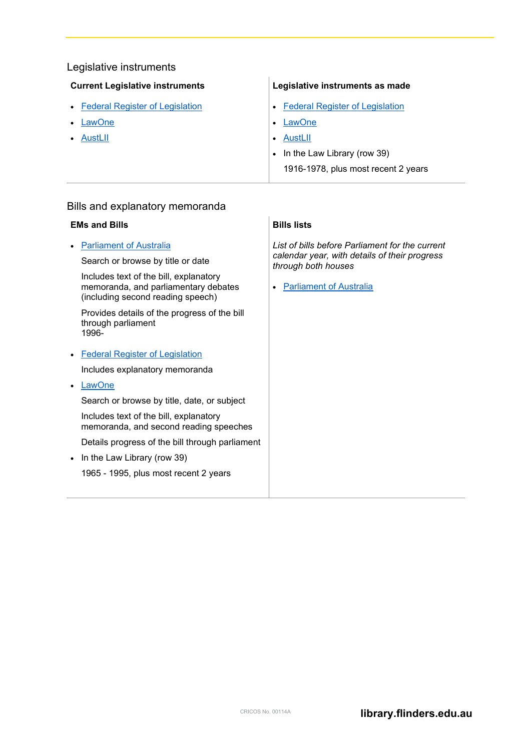#### <span id="page-1-0"></span>Legislative instruments

| <b>Current Legislative instruments</b> |  |
|----------------------------------------|--|
|----------------------------------------|--|

- [Federal Register of Legislation](https://www.legislation.gov.au/Browse/ByTitle/LegislativeInstruments/InForce/0/0/Principal)
- **[LawOne](http://ezproxy.flinders.edu.au/login?url=http://lawone.timebase.com.au/Legislation/Text/cth_legislation/jump?id=Menu%20Current%20Regulations)**
- [AustLII](http://www.austlii.edu.au/au/legis/cth/consol_reg/)

#### **Legislative instruments as made**

- [Federal Register of Legislation](https://www.legislation.gov.au/Browse/ByTitle/LegislativeInstruments/Asmade/0/0/All)
- **[LawOne](http://lawone.timebase.com.au/Legislation/Year/cth/All/regs)**
- [AustLII](http://www.austlii.edu.au/au/legis/cth/num_reg/)
- In the Law Library (row 39)
	- 1916-1978, plus most recent 2 years

#### <span id="page-1-1"></span>Bills and explanatory memoranda

#### **EMs and Bills**

• [Parliament of Australia](http://www.aph.gov.au/Parliamentary_Business/Bills_Legislation)

Search or browse by title or date

Includes text of the bill, explanatory memoranda, and parliamentary debates (including second reading speech)

Provides details of the progress of the bill through parliament 1996-

• [Federal Register of Legislation](https://www.legislation.gov.au/Browse/ByTitle/Bills/InForce)

Includes explanatory memoranda

• [LawOne](http://ezproxy.flinders.edu.au/login?url=http://lawone.timebase.com.au/Legislation/Year/CTH/All/Bills)

Search or browse by title, date, or subject

Includes text of the bill, explanatory memoranda, and second reading speeches

Details progress of the bill through parliament

• In the Law Library (row 39)

1965 - 1995, plus most recent 2 years

#### **Bills lists**

*List of bills before Parliament for the current calendar year, with details of their progress through both houses*

• [Parliament of Australia](http://www.aph.gov.au/Parliamentary_Business/Bills_Legislation#a6)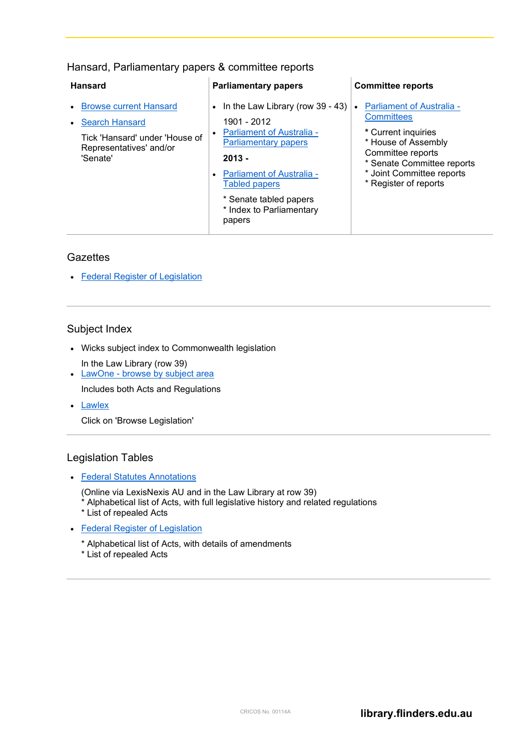<span id="page-2-0"></span>

|  |  | Hansard, Parliamentary papers & committee reports |
|--|--|---------------------------------------------------|
|  |  |                                                   |

| <b>Hansard</b>                                                                                                                  | <b>Parliamentary papers</b>                                                                                                                                                                                                                                     | <b>Committee reports</b>                                                                                                                                                                                     |
|---------------------------------------------------------------------------------------------------------------------------------|-----------------------------------------------------------------------------------------------------------------------------------------------------------------------------------------------------------------------------------------------------------------|--------------------------------------------------------------------------------------------------------------------------------------------------------------------------------------------------------------|
| <b>Browse current Hansard</b><br><b>Search Hansard</b><br>Tick 'Hansard' under 'House of<br>Representatives' and/or<br>'Senate' | • In the Law Library (row $39 - 43$ )<br>1901 - 2012<br><b>Parliament of Australia -</b><br><b>Parliamentary papers</b><br>$2013 -$<br><b>Parliament of Australia -</b><br><b>Tabled papers</b><br>* Senate tabled papers<br>* Index to Parliamentary<br>papers | <b>Parliament of Australia -</b><br><b>Committees</b><br>* Current inquiries<br>* House of Assembly<br>Committee reports<br>* Senate Committee reports<br>* Joint Committee reports<br>* Register of reports |

#### <span id="page-2-1"></span>**Gazettes**

• [Federal Register of Legislation](https://www.legislation.gov.au/Browse/ByTitle/Gazettes/InForce)

#### <span id="page-2-2"></span>Subject Index

- Wicks subject index to Commonwealth legislation In the Law Library (row 39)
- LawOne [browse by subject area](http://ezproxy.flinders.edu.au/login?url=http://lawone.timebase.com.au/Legislation/Subject/cth)
- Includes both Acts and Regulations
- [Lawlex](http://my.lawlex.com.au/)

Click on 'Browse Legislation'

## <span id="page-2-3"></span>Legislation Tables

#### • [Federal Statutes Annotations](https://ezproxy.flinders.edu.au/login?url=http://www.lexisnexis.com/au/legal/api/version1/toc?shr=t&hct=f&scl=t&AU01STSttAntSrch&csi=274546)

(Online via LexisNexis AU and in the Law Library at row 39)

- \* Alphabetical list of Acts, with full legislative history and related regulations
- \* List of repealed Acts
- [Federal Register of Legislation](https://www.legislation.gov.au/Content/LegislationTables)
	- \* Alphabetical list of Acts, with details of amendments
	- \* List of repealed Acts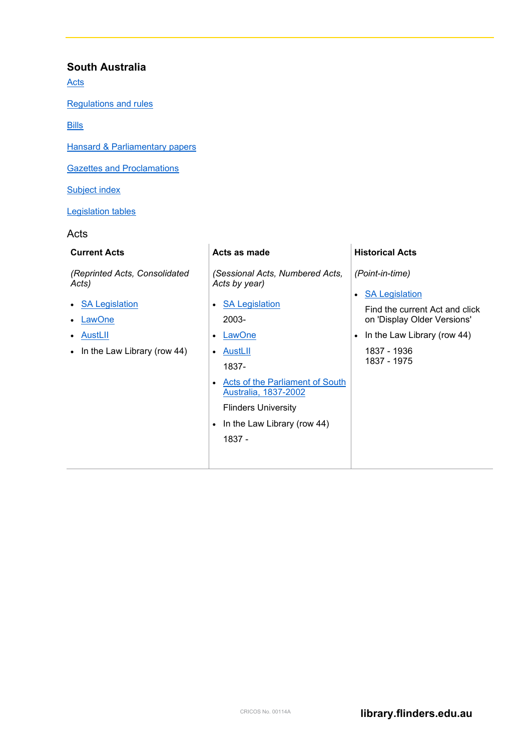### <span id="page-3-0"></span>**South Australia**

[Acts](#page-3-1)

[Regulations and rules](#page-4-0)

[Bills](#page-4-1)

**[Hansard & Parliamentary papers](#page-4-2)** 

[Gazettes and Proclamations](#page-5-1)

**[Subject index](#page-5-2)** 

[Legislation tables](#page-5-3)

#### <span id="page-3-1"></span>Acts

| <b>Current Acts</b>                                                                                 | Acts as made                                                                                                                                                                                                                                                                    | <b>Historical Acts</b>                                                                                                                                           |
|-----------------------------------------------------------------------------------------------------|---------------------------------------------------------------------------------------------------------------------------------------------------------------------------------------------------------------------------------------------------------------------------------|------------------------------------------------------------------------------------------------------------------------------------------------------------------|
| (Reprinted Acts, Consolidated<br>Acts)                                                              | (Sessional Acts, Numbered Acts,<br>Acts by year)                                                                                                                                                                                                                                | (Point-in-time)                                                                                                                                                  |
| <b>SA Legislation</b><br>$\bullet$<br>LawOne<br>AustLII<br>In the Law Library (row 44)<br>$\bullet$ | <b>SA Legislation</b><br>$\bullet$<br>2003-<br><b>LawOne</b><br>$\bullet$<br><u>AustLII</u><br>$\bullet$<br>1837-<br>Acts of the Parliament of South<br>$\bullet$<br>Australia, 1837-2002<br><b>Flinders University</b><br>In the Law Library (row 44)<br>$\bullet$<br>$1837 -$ | <b>SA Legislation</b><br>Find the current Act and click<br>on 'Display Older Versions'<br>In the Law Library (row 44)<br>$\bullet$<br>1837 - 1936<br>1837 - 1975 |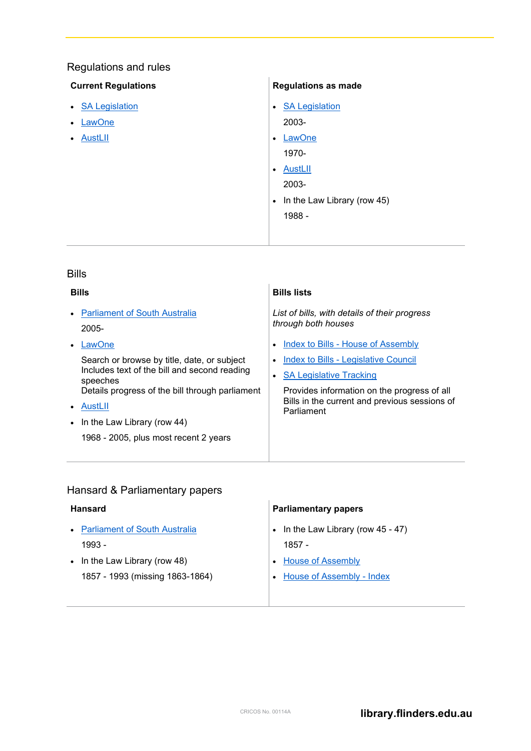# <span id="page-4-0"></span>Regulations and rules

#### **Current Regulations**

- [SA Legislation](http://legislation.sa.gov.au/browseRegulations.aspx)
- [LawOne](http://ezproxy.flinders.edu.au/login?url=http://lawone.timebase.com.au/Legislation/Text/sa_legislation/jump?id=Menu%20Current%20Regulations)
- [AustLII](http://www.austlii.edu.au/au/legis/sa/consol_reg/)

## **Regulations as made**

• [SA Legislation](http://legislation.sa.gov.au/browseRegulations.aspx) 2003-

• [LawOne](http://ezproxy.flinders.edu.au/login?url=http://lawone.timebase.com.au/Legislation/Year/sa/All/regs)

1970-

• [AustLII](http://www.austlii.edu.au/au/legis/sa/num_reg/)

2003-

• In the Law Library (row 45) 1988 -

#### <span id="page-4-1"></span>Bills

| <b>Bills</b>                                             | <b>Bills lists</b>                                                   |
|----------------------------------------------------------|----------------------------------------------------------------------|
| <b>Parliament of South Australia</b><br>2005-            | List of bills, with details of their progress<br>through both houses |
| LawOne                                                   | Index to Bills - House of Assembly<br>$\bullet$                      |
| Search or browse by title, date, or subject              | Index to Bills - Legislative Council<br>$\bullet$                    |
| Includes text of the bill and second reading<br>speeches | <b>SA Legislative Tracking</b><br>$\bullet$                          |
| Details progress of the bill through parliament          | Provides information on the progress of all                          |
| AustLII                                                  | Bills in the current and previous sessions of<br>Parliament          |
| • In the Law Library (row 44)                            |                                                                      |
| 1968 - 2005, plus most recent 2 years                    |                                                                      |
|                                                          |                                                                      |

# <span id="page-4-2"></span>Hansard & Parliamentary papers

| Hansard                         | <b>Parliamentary papers</b>      |
|---------------------------------|----------------------------------|
| • Parliament of South Australia | In the Law Library (row 45 - 47) |
| $1993 -$                        | $1857 -$                         |
| • In the Law Library (row 48)   | <b>House of Assembly</b>         |
| 1857 - 1993 (missing 1863-1864) | House of Assembly - Index        |
|                                 |                                  |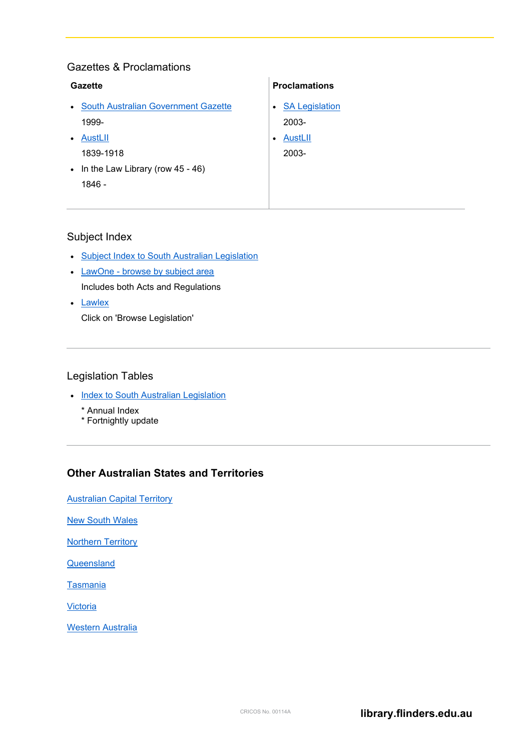## <span id="page-5-1"></span>Gazettes & Proclamations

| Gazette                                                              | <b>Proclamations</b>  |
|----------------------------------------------------------------------|-----------------------|
| <b>South Australian Government Gazette</b><br>$\bullet$<br>$\bullet$ | <b>SA Legislation</b> |
| 1999-<br>AustLII<br>$\bullet$<br>$\bullet$                           | $2003 -$<br>AustLII   |
| 1839-1918                                                            | $2003 -$              |
| • In the Law Library (row $45 - 46$ )                                |                       |
| 1846 -                                                               |                       |

### <span id="page-5-2"></span>Subject Index

- [Subject Index to South Australian Legislation](http://www.alla.asn.au/sa/sisal/sisal.html)
- LawOne [browse by subject area](http://ezproxy.flinders.edu.au/login?url=http://lawone.timebase.com.au/Legislation/Subject/cth) Includes both Acts and Regulations
- [Lawlex](http://my.lawlex.com.au/)

Click on 'Browse Legislation'

#### <span id="page-5-3"></span>Legislation Tables

- Index to [South Australian Legislation](http://legislation.sa.gov.au/Web/Information/Fortnightly%20index/FortnightlyIndex.aspx)
	- \* Annual Index
	- \* Fortnightly update

## <span id="page-5-0"></span>**Other Australian States and Territories**

**[Australian Capital Territory](#page-6-0)** 

[New South Wales](#page-6-1)

[Northern Territory](#page-7-0)

**[Queensland](#page-7-1)** 

[Tasmania](#page-8-0)

**[Victoria](#page-9-1)** 

[Western Australia](#page-9-2)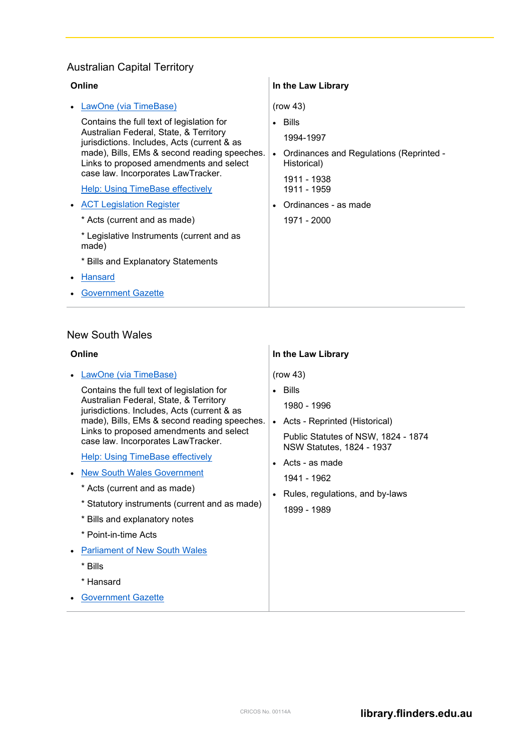# <span id="page-6-0"></span>Australian Capital Territory

| Online                                                                                                                                                                                                                                                                                                                                                                                                                                                                                                                                         | In the Law Library                                                                                                                                              |
|------------------------------------------------------------------------------------------------------------------------------------------------------------------------------------------------------------------------------------------------------------------------------------------------------------------------------------------------------------------------------------------------------------------------------------------------------------------------------------------------------------------------------------------------|-----------------------------------------------------------------------------------------------------------------------------------------------------------------|
| LawOne (via TimeBase)<br>Contains the full text of legislation for<br>Australian Federal, State, & Territory<br>jurisdictions. Includes, Acts (current & as<br>made), Bills, EMs & second reading speeches.<br>Links to proposed amendments and select<br>case law. Incorporates LawTracker.<br><b>Help: Using TimeBase effectively</b><br><b>ACT Legislation Register</b><br>* Acts (current and as made)<br>* Legislative Instruments (current and as<br>made)<br>* Bills and Explanatory Statements<br>Hansard<br><b>Government Gazette</b> | (row 43)<br>- Bills<br>1994-1997<br>Ordinances and Regulations (Reprinted -<br>Historical)<br>1911 - 1938<br>1911 - 1959<br>Ordinances - as made<br>1971 - 2000 |
|                                                                                                                                                                                                                                                                                                                                                                                                                                                                                                                                                |                                                                                                                                                                 |

## <span id="page-6-1"></span>New South Wales

| Online                                                                                                                                                                                                                                                                                                                                                                                                                                                                                                                                                                                 | In the Law Library                                                                                                                                                                                                                      |
|----------------------------------------------------------------------------------------------------------------------------------------------------------------------------------------------------------------------------------------------------------------------------------------------------------------------------------------------------------------------------------------------------------------------------------------------------------------------------------------------------------------------------------------------------------------------------------------|-----------------------------------------------------------------------------------------------------------------------------------------------------------------------------------------------------------------------------------------|
| LawOne (via TimeBase)<br>Contains the full text of legislation for<br>Australian Federal, State, & Territory<br>jurisdictions. Includes, Acts (current & as<br>made), Bills, EMs & second reading speeches.<br>Links to proposed amendments and select<br>case law. Incorporates LawTracker.<br><b>Help: Using TimeBase effectively</b><br><b>New South Wales Government</b><br>* Acts (current and as made)<br>* Statutory instruments (current and as made)<br>* Bills and explanatory notes<br>* Point-in-time Acts<br><b>Parliament of New South Wales</b><br>* Bills<br>* Hansard | (row 43)<br>Bills<br>1980 - 1996<br>• Acts - Reprinted (Historical)<br>Public Statutes of NSW, 1824 - 1874<br>NSW Statutes, 1824 - 1937<br>Acts - as made<br>1941 - 1962<br>Rules, regulations, and by-laws<br>$\bullet$<br>1899 - 1989 |
| <b>Government Gazette</b>                                                                                                                                                                                                                                                                                                                                                                                                                                                                                                                                                              |                                                                                                                                                                                                                                         |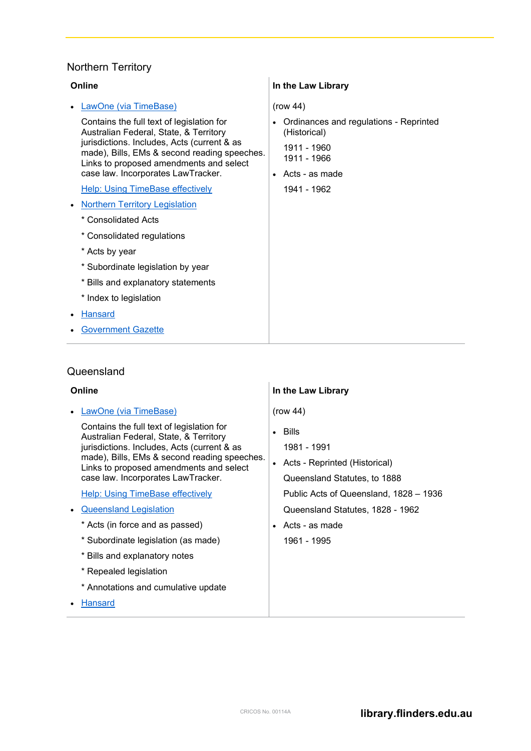# <span id="page-7-0"></span>Northern Territory

| Online                                                                                                                                                                                                                        | In the Law Library                                     |
|-------------------------------------------------------------------------------------------------------------------------------------------------------------------------------------------------------------------------------|--------------------------------------------------------|
| LawOne (via TimeBase)                                                                                                                                                                                                         | (row 44)                                               |
| Contains the full text of legislation for<br>Australian Federal, State, & Territory<br>jurisdictions. Includes, Acts (current & as<br>made), Bills, EMs & second reading speeches.<br>Links to proposed amendments and select | Ordinances and regulations - Reprinted<br>(Historical) |
|                                                                                                                                                                                                                               | 1911 - 1960<br>1911 - 1966                             |
| case law. Incorporates LawTracker.                                                                                                                                                                                            | $\bullet$ Acts - as made                               |
| <b>Help: Using TimeBase effectively</b>                                                                                                                                                                                       | 1941 - 1962                                            |
| <b>Northern Territory Legislation</b>                                                                                                                                                                                         |                                                        |
| * Consolidated Acts                                                                                                                                                                                                           |                                                        |
| * Consolidated regulations                                                                                                                                                                                                    |                                                        |
| * Acts by year                                                                                                                                                                                                                |                                                        |
| * Subordinate legislation by year                                                                                                                                                                                             |                                                        |
| * Bills and explanatory statements                                                                                                                                                                                            |                                                        |
| * Index to legislation                                                                                                                                                                                                        |                                                        |
| Hansard                                                                                                                                                                                                                       |                                                        |
| <b>Government Gazette</b>                                                                                                                                                                                                     |                                                        |

# <span id="page-7-1"></span>Queensland

| Online                                                                                  | In the Law Library                     |
|-----------------------------------------------------------------------------------------|----------------------------------------|
| <b>LawOne (via TimeBase)</b>                                                            | (row 44)                               |
| Contains the full text of legislation for                                               | Bills                                  |
| Australian Federal, State, & Territory<br>jurisdictions. Includes, Acts (current & as   | 1981 - 1991                            |
| made), Bills, EMs & second reading speeches.<br>Links to proposed amendments and select | Acts - Reprinted (Historical)          |
| case law. Incorporates LawTracker.                                                      | Queensland Statutes, to 1888           |
| <b>Help: Using TimeBase effectively</b>                                                 | Public Acts of Queensland, 1828 - 1936 |
| <b>Queensland Legislation</b>                                                           | Queensland Statutes, 1828 - 1962       |
| * Acts (in force and as passed)                                                         | Acts - as made                         |
| * Subordinate legislation (as made)                                                     | 1961 - 1995                            |
| * Bills and explanatory notes                                                           |                                        |
| * Repealed legislation                                                                  |                                        |
| * Annotations and cumulative update                                                     |                                        |
| Hansard                                                                                 |                                        |
|                                                                                         |                                        |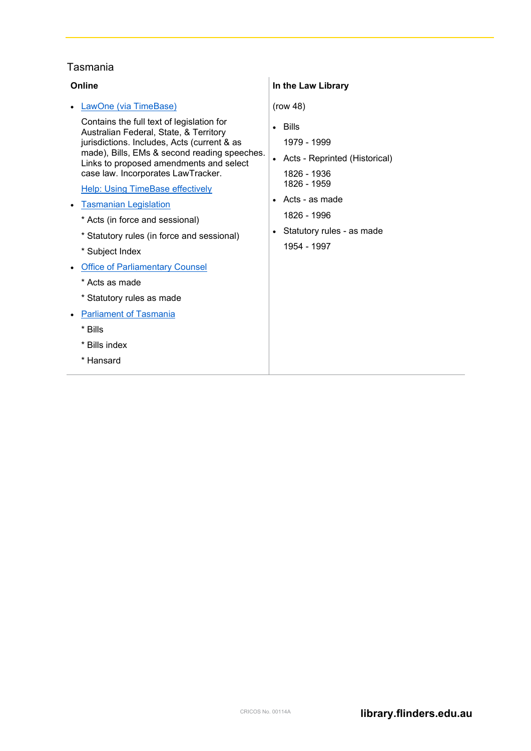#### <span id="page-8-0"></span>Tasmania

#### **Online** • [LawOne \(via TimeBase\)](http://ezproxy.flinders.edu.au/login?url=https://www.lawone.com.au) Contains the full text of legislation for Australian Federal, State, & Territory jurisdictions. Includes, Acts (current & as made), Bills, EMs & second reading speeches. Links to proposed amendments and select case law. Incorporates LawTracker. **[Help: Using TimeBase effectively](https://www.timebase.com.au/support/Using_TimeBase_Effectively.html)** • [Tasmanian Legislation](http://www.thelaw.tas.gov.au/) \* Acts (in force and sessional) \* Statutory rules (in force and sessional) \* Subject Index • [Office of Parliamentary Counsel](http://www.dpac.tas.gov.au/divisions/opc/publications.html) \* Acts as made \* Statutory rules as made • [Parliament of](http://www.parliament.tas.gov.au/) Tasmania \* Bills \* Bills index \* Hansard **In the Law Library** (row 48) • Bills 1979 - 1999 • Acts - Reprinted (Historical) 1826 - 1936 1826 - 1959 • Acts - as made 1826 - 1996 • Statutory rules - as made 1954 - 1997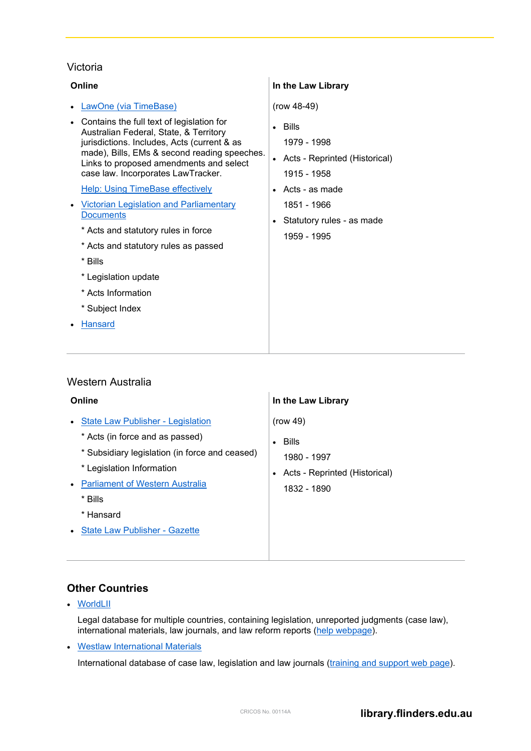#### <span id="page-9-1"></span>Victoria

| Online                                                                                                                                                                                                                                                                                                           | In the Law Library                                                                                                     |
|------------------------------------------------------------------------------------------------------------------------------------------------------------------------------------------------------------------------------------------------------------------------------------------------------------------|------------------------------------------------------------------------------------------------------------------------|
| • LawOne (via TimeBase)                                                                                                                                                                                                                                                                                          | $(row 48-49)$                                                                                                          |
| • Contains the full text of legislation for<br>Australian Federal, State, & Territory<br>jurisdictions. Includes, Acts (current & as<br>made), Bills, EMs & second reading speeches.<br>Links to proposed amendments and select<br>case law. Incorporates LawTracker.<br><b>Help: Using TimeBase effectively</b> | <b>Bills</b><br>$\bullet$<br>1979 - 1998<br>• Acts - Reprinted (Historical)<br>1915 - 1958<br>$\bullet$ Acts - as made |
| <b>Victorian Legislation and Parliamentary</b><br>$\bullet$<br><b>Documents</b><br>* Acts and statutory rules in force<br>* Acts and statutory rules as passed<br>* Bills<br>* Legislation update<br>* Acts Information<br>* Subject Index<br><b>Hansard</b><br>$\bullet$                                        | 1851 - 1966<br>Statutory rules - as made<br>1959 - 1995                                                                |

#### <span id="page-9-2"></span>Western Australia

| Online                                                                                                                                                                                                                                                                                  | In the Law Library                                                                                                |
|-----------------------------------------------------------------------------------------------------------------------------------------------------------------------------------------------------------------------------------------------------------------------------------------|-------------------------------------------------------------------------------------------------------------------|
| State Law Publisher - Legislation<br>$\bullet$<br>* Acts (in force and as passed)<br>* Subsidiary legislation (in force and ceased)<br>* Legislation Information<br><b>Parliament of Western Australia</b><br>$\bullet$<br>* Bills<br>* Hansard<br><b>State Law Publisher - Gazette</b> | (row 49)<br><b>Bills</b><br>$\bullet$<br>1980 - 1997<br>Acts - Reprinted (Historical)<br>$\bullet$<br>1832 - 1890 |

#### <span id="page-9-0"></span>**Other Countries**

• [WorldLII](http://ezproxy.flinders.edu.au/login?url=http://www.worldlii.org/)

Legal database for multiple countries, containing legislation, unreported judgments (case law), international materials, law journals, and law reform reports [\(help webpage\)](http://www.worldlii.org/worldlii/help/search.html).

• [Westlaw International Materials](http://ezproxy.flinders.edu.au/login?url=https://1.next.westlaw.com/Browse/Home/InternationalMaterials?transitionType=Default&contextData=%28sc.Default%29&SP=au-wln-flinders)

International database of case law, legislation and law journals [\(training and support web page\)](https://legal.thomsonreuters.com/en/support/westlaw).